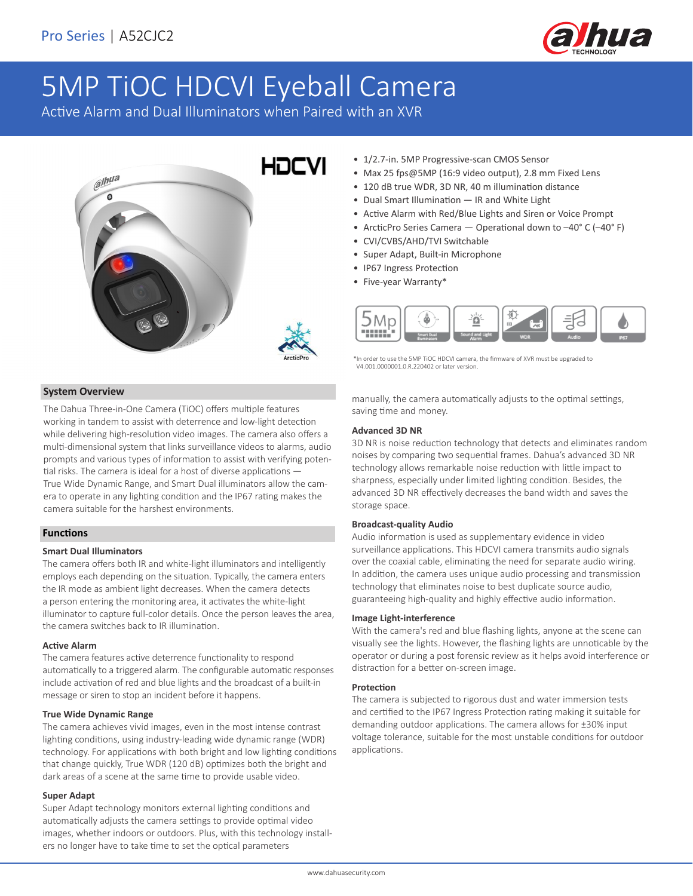

# 5MP TiOC HDCVI Eyeball Camera

Active Alarm and Dual Illuminators when Paired with an XVR



# **System Overview**

The Dahua Three-in-One Camera (TiOC) offers multiple features working in tandem to assist with deterrence and low-light detection while delivering high-resolution video images. The camera also offers a multi-dimensional system that links surveillance videos to alarms, audio prompts and various types of information to assist with verifying potential risks. The camera is ideal for a host of diverse applications — True Wide Dynamic Range, and Smart Dual illuminators allow the camera to operate in any lighting condition and the IP67 rating makes the camera suitable for the harshest environments.

## **Functions**

## **Smart Dual Illuminators**

The camera offers both IR and white-light illuminators and intelligently employs each depending on the situation. Typically, the camera enters the IR mode as ambient light decreases. When the camera detects a person entering the monitoring area, it activates the white-light illuminator to capture full-color details. Once the person leaves the area, the camera switches back to IR illumination.

#### **Active Alarm**

The camera features active deterrence functionality to respond automatically to a triggered alarm. The configurable automatic responses include activation of red and blue lights and the broadcast of a built-in message or siren to stop an incident before it happens.

# **True Wide Dynamic Range**

The camera achieves vivid images, even in the most intense contrast lighting conditions, using industry-leading wide dynamic range (WDR) technology. For applications with both bright and low lighting conditions that change quickly, True WDR (120 dB) optimizes both the bright and dark areas of a scene at the same time to provide usable video.

#### **Super Adapt**

Super Adapt technology monitors external lighting conditions and automatically adjusts the camera settings to provide optimal video images, whether indoors or outdoors. Plus, with this technology installers no longer have to take time to set the optical parameters

- 1/2.7-in. 5MP Progressive-scan CMOS Sensor
- Max 25 fps@5MP (16:9 video output), 2.8 mm Fixed Lens
- 120 dB true WDR, 3D NR, 40 m illumination distance
- Dual Smart Illumination IR and White Light
- Active Alarm with Red/Blue Lights and Siren or Voice Prompt
- ArcticPro Series Camera Operational down to -40° C (-40° F)
- CVI/CVBS/AHD/TVI Switchable
- Super Adapt, Built-in Microphone
- IP67 Ingress Protection
- Five-year Warranty\*



\*In order to use the 5MP TiOC HDCVI camera, the firmware of XVR must be upgraded to V4.001.0000001.0.R.220402 or later version.

manually, the camera automatically adjusts to the optimal settings, saving time and money.

## **Advanced 3D NR**

3D NR is noise reduction technology that detects and eliminates random noises by comparing two sequential frames. Dahua's advanced 3D NR technology allows remarkable noise reduction with little impact to sharpness, especially under limited lighting condition. Besides, the advanced 3D NR effectively decreases the band width and saves the storage space.

#### **Broadcast-quality Audio**

Audio information is used as supplementary evidence in video surveillance applications. This HDCVI camera transmits audio signals over the coaxial cable, eliminating the need for separate audio wiring. In addition, the camera uses unique audio processing and transmission technology that eliminates noise to best duplicate source audio, guaranteeing high-quality and highly effective audio information.

#### **Image Light-interference**

With the camera's red and blue flashing lights, anyone at the scene can visually see the lights. However, the flashing lights are unnoticable by the operator or during a post forensic review as it helps avoid interference or distraction for a better on-screen image.

#### **Protection**

The camera is subjected to rigorous dust and water immersion tests and certified to the IP67 Ingress Protection rating making it suitable for demanding outdoor applications. The camera allows for ±30% input voltage tolerance, suitable for the most unstable conditions for outdoor applications.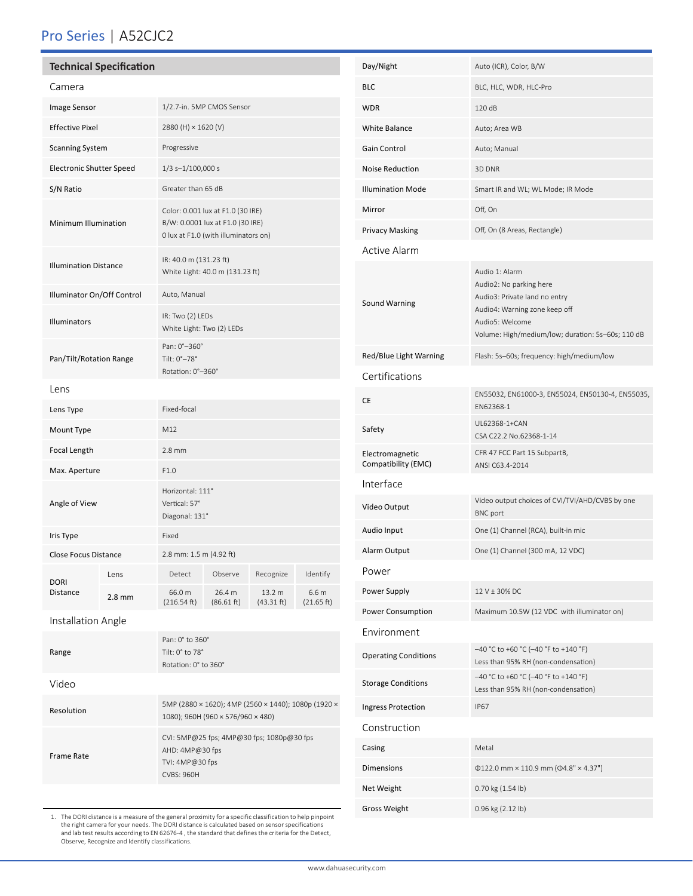# Pro Series | A52CJC2

# **Technical Specification**

| Camera                          |          |                                                                                                               |                      |                      |                                |  |  |
|---------------------------------|----------|---------------------------------------------------------------------------------------------------------------|----------------------|----------------------|--------------------------------|--|--|
| Image Sensor                    |          | 1/2.7-in. 5MP CMOS Sensor                                                                                     |                      |                      |                                |  |  |
| <b>Effective Pixel</b>          |          | 2880 (H) × 1620 (V)                                                                                           |                      |                      |                                |  |  |
| <b>Scanning System</b>          |          | Progressive                                                                                                   |                      |                      |                                |  |  |
| <b>Electronic Shutter Speed</b> |          | $1/3$ s- $1/100,000$ s                                                                                        |                      |                      |                                |  |  |
| S/N Ratio                       |          | Greater than 65 dB                                                                                            |                      |                      |                                |  |  |
| Minimum Illumination            |          | Color: 0.001 lux at F1.0 (30 IRE)<br>B/W: 0.0001 lux at F1.0 (30 IRE)<br>0 lux at F1.0 (with illuminators on) |                      |                      |                                |  |  |
| <b>Illumination Distance</b>    |          | IR: 40.0 m (131.23 ft)<br>White Light: 40.0 m (131.23 ft)                                                     |                      |                      |                                |  |  |
| Illuminator On/Off Control      |          | Auto, Manual                                                                                                  |                      |                      |                                |  |  |
| Illuminators                    |          | IR: Two (2) LEDs<br>White Light: Two (2) LEDs                                                                 |                      |                      |                                |  |  |
| Pan/Tilt/Rotation Range         |          | Pan: 0°-360°<br>Tilt: 0°-78°<br>Rotation: 0°-360°                                                             |                      |                      |                                |  |  |
| Lens                            |          |                                                                                                               |                      |                      |                                |  |  |
| Lens Type                       |          | Fixed-focal                                                                                                   |                      |                      |                                |  |  |
| Mount Type                      |          | M12                                                                                                           |                      |                      |                                |  |  |
| Focal Length                    |          | $2.8$ mm                                                                                                      |                      |                      |                                |  |  |
| Max. Aperture                   |          | F1.0                                                                                                          |                      |                      |                                |  |  |
| Angle of View                   |          | Horizontal: 111°<br>Vertical: 57°<br>Diagonal: 131°                                                           |                      |                      |                                |  |  |
| Iris Type                       |          | Fixed                                                                                                         |                      |                      |                                |  |  |
| <b>Close Focus Distance</b>     |          | 2.8 mm: 1.5 m (4.92 ft)                                                                                       |                      |                      |                                |  |  |
| <b>DORI</b><br><b>Distance</b>  | Lens     | Detect                                                                                                        | Observe              | Recognize            | Identify                       |  |  |
|                                 | $2.8$ mm | 66.0 m<br>(216.54 ft)                                                                                         | 26.4 m<br>(86.61 ft) | 13.2 m<br>(43.31 ft) | 6.6 <sub>m</sub><br>(21.65 ft) |  |  |
| Installation Angle              |          |                                                                                                               |                      |                      |                                |  |  |

| Range      | Pan: 0° to 360°<br>Tilt: $0^{\circ}$ to $78^{\circ}$<br>Rotation: 0° to 360°                             |  |  |
|------------|----------------------------------------------------------------------------------------------------------|--|--|
| Video      |                                                                                                          |  |  |
| Resolution | 5MP (2880 × 1620); 4MP (2560 × 1440); 1080p (1920 ×<br>1080); 960H (960 × 576/960 × 480)                 |  |  |
| Frame Rate | CVI: 5MP@25 fps; 4MP@30 fps; 1080p@30 fps<br>AHD: $4MP@30$ fps<br>TVI: $4MP@30$ fps<br><b>CVBS: 960H</b> |  |  |

1. The DORI distance is a measure of the general proximity for a specific classification to help pinpoint<br>the right camera for your needs. The DORI distance is calculated based on sensor specifications<br>and lab test results

| Day/Night                              | Auto (ICR), Color, B/W                                                                                                                                                              |  |  |  |  |  |
|----------------------------------------|-------------------------------------------------------------------------------------------------------------------------------------------------------------------------------------|--|--|--|--|--|
| <b>BLC</b>                             | BLC, HLC, WDR, HLC-Pro                                                                                                                                                              |  |  |  |  |  |
| <b>WDR</b>                             | 120dB                                                                                                                                                                               |  |  |  |  |  |
| White Balance                          | Auto; Area WB                                                                                                                                                                       |  |  |  |  |  |
| Gain Control                           | Auto; Manual                                                                                                                                                                        |  |  |  |  |  |
| <b>Noise Reduction</b>                 | 3D DNR                                                                                                                                                                              |  |  |  |  |  |
| <b>Illumination Mode</b>               | Smart IR and WL; WL Mode; IR Mode                                                                                                                                                   |  |  |  |  |  |
| Mirror                                 | Off, On                                                                                                                                                                             |  |  |  |  |  |
| Privacy Masking                        | Off, On (8 Areas, Rectangle)                                                                                                                                                        |  |  |  |  |  |
| <b>Active Alarm</b>                    |                                                                                                                                                                                     |  |  |  |  |  |
| Sound Warning                          | Audio 1: Alarm<br>Audio2: No parking here<br>Audio3: Private land no entry<br>Audio4: Warning zone keep off<br>Audio5: Welcome<br>Volume: High/medium/low; duration: 5s-60s; 110 dB |  |  |  |  |  |
| Red/Blue Light Warning                 | Flash: 5s-60s; frequency: high/medium/low                                                                                                                                           |  |  |  |  |  |
| Certifications                         |                                                                                                                                                                                     |  |  |  |  |  |
| <b>CE</b>                              | EN55032, EN61000-3, EN55024, EN50130-4, EN55035,<br>FN62368-1                                                                                                                       |  |  |  |  |  |
| Safety                                 | UL62368-1+CAN<br>CSA C22.2 No.62368-1-14                                                                                                                                            |  |  |  |  |  |
| Electromagnetic<br>Compatibility (EMC) | CFR 47 FCC Part 15 SubpartB,<br>ANSI C63.4-2014                                                                                                                                     |  |  |  |  |  |
| Interface                              |                                                                                                                                                                                     |  |  |  |  |  |
| Video Output                           | Video output choices of CVI/TVI/AHD/CVBS by one<br><b>BNC</b> port                                                                                                                  |  |  |  |  |  |
| Audio Input                            | One (1) Channel (RCA), built-in mic                                                                                                                                                 |  |  |  |  |  |
| Alarm Output                           | One (1) Channel (300 mA, 12 VDC)                                                                                                                                                    |  |  |  |  |  |
| Power                                  |                                                                                                                                                                                     |  |  |  |  |  |
| Power Supply                           | 12 V + 30% DC                                                                                                                                                                       |  |  |  |  |  |
| Power Consumption                      | Maximum 10.5W (12 VDC with illuminator on)                                                                                                                                          |  |  |  |  |  |
| Environment                            |                                                                                                                                                                                     |  |  |  |  |  |
| <b>Operating Conditions</b>            | -40 °C to +60 °C (-40 °F to +140 °F)<br>Less than 95% RH (non-condensation)                                                                                                         |  |  |  |  |  |
| <b>Storage Conditions</b>              | -40 °C to +60 °C (-40 °F to +140 °F)<br>Less than 95% RH (non-condensation)                                                                                                         |  |  |  |  |  |
| <b>Ingress Protection</b>              | <b>IP67</b>                                                                                                                                                                         |  |  |  |  |  |
| Construction                           |                                                                                                                                                                                     |  |  |  |  |  |
| Casing                                 | Metal                                                                                                                                                                               |  |  |  |  |  |
| <b>Dimensions</b>                      | $\Phi$ 122.0 mm × 110.9 mm ( $\Phi$ 4.8" × 4.37")                                                                                                                                   |  |  |  |  |  |
| Net Weight                             | 0.70 kg (1.54 lb)                                                                                                                                                                   |  |  |  |  |  |
| Gross Weight                           | 0.96 kg (2.12 lb)                                                                                                                                                                   |  |  |  |  |  |